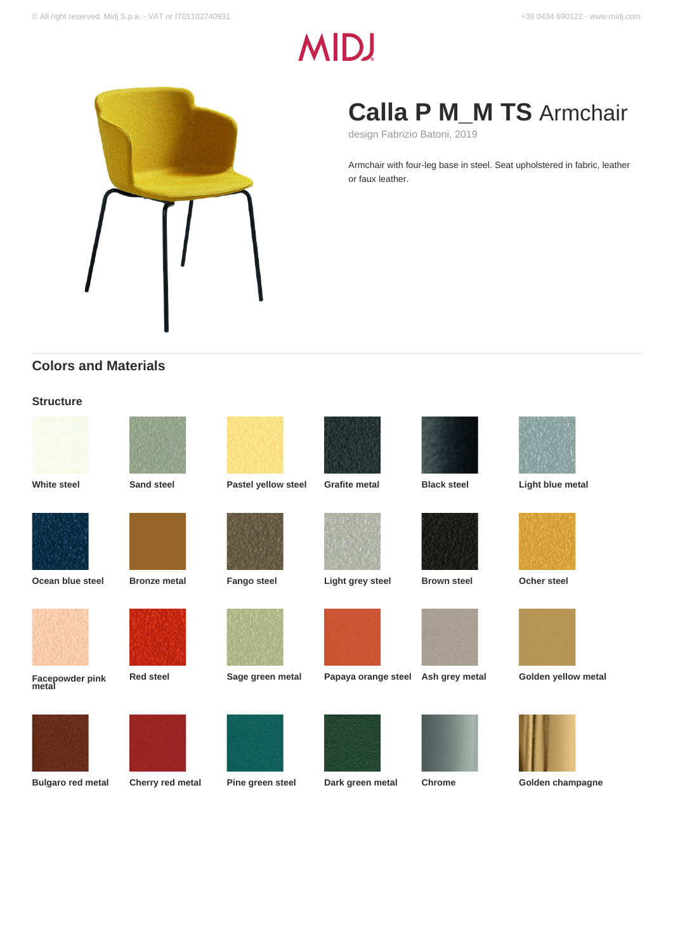# **MID!**



## **Calla P M\_M TS** Armchair

design Fabrizio Batoni, 2019

Armchair with four-leg base in steel. Seat upholstered in fabric, leather or faux leather.

## **Colors and Materials**

## **Structure**

| <b>White steel</b>       | <b>Sand steel</b>   | Pastel yellow steel | <b>Grafite metal</b> | <b>Black steel</b> | Light blue metal    |
|--------------------------|---------------------|---------------------|----------------------|--------------------|---------------------|
| Ocean blue steel         |                     |                     |                      |                    | <b>Ocher steel</b>  |
|                          | <b>Bronze metal</b> | <b>Fango steel</b>  | Light grey steel     | <b>Brown steel</b> |                     |
|                          |                     |                     |                      |                    |                     |
| Facepowder pink<br>metal | <b>Red steel</b>    | Sage green metal    | Papaya orange steel  | Ash grey metal     | Golden yellow metal |
|                          |                     |                     |                      |                    |                     |
| <b>Bulgaro red metal</b> | Cherry red metal    | Pine green steel    | Dark green metal     | <b>Chrome</b>      | Golden champagne    |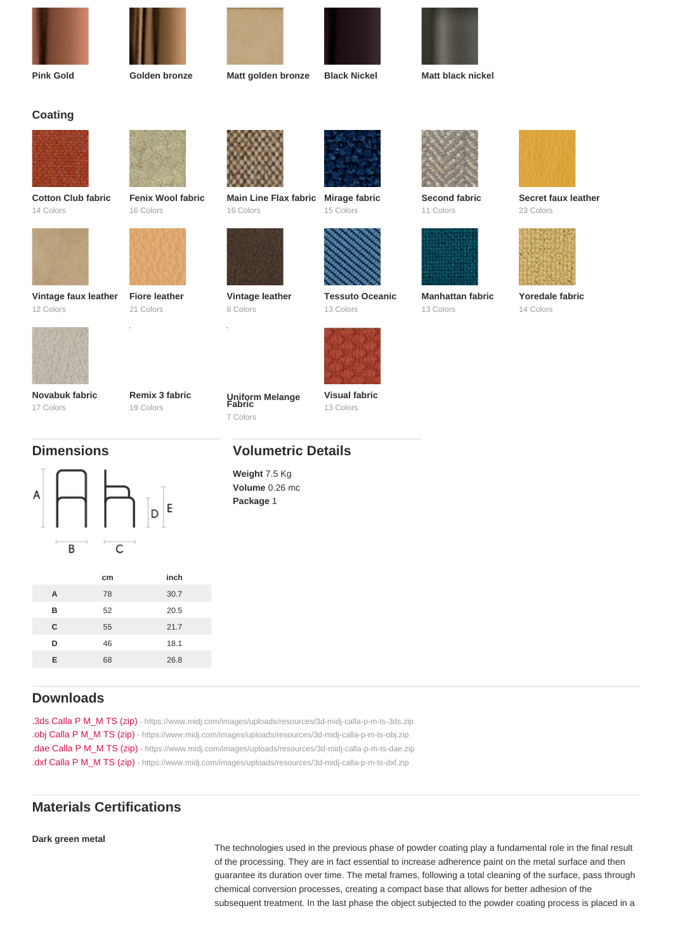| Pink Gold                         |          | Golden bronze                  | Matt golden bronze                    | <b>Black Nickel</b>                 | Matt black nickel             |                                  |
|-----------------------------------|----------|--------------------------------|---------------------------------------|-------------------------------------|-------------------------------|----------------------------------|
| Coating                           |          |                                |                                       |                                     |                               |                                  |
|                                   |          |                                |                                       |                                     |                               |                                  |
|                                   |          |                                |                                       |                                     |                               |                                  |
| Cotton Club fabric<br>14 Colors   |          | Fenix Wool fabric<br>16 Colors | Main Line Flax fabric<br>16 Colors    | Mirage fabric<br>15 Colors          | Second fabric<br>11 Colors    | Secret faux leather<br>23 Colors |
|                                   |          |                                |                                       |                                     |                               |                                  |
|                                   |          |                                |                                       |                                     |                               |                                  |
| Vintage faux leather<br>12 Colors |          | Fiore leather<br>21 Colors     | Vintage leather<br>8 Colors           | <b>Tessuto Oceanic</b><br>13 Colors | Manhattan fabric<br>13 Colors | Yoredale fabric<br>14 Colors     |
|                                   |          |                                |                                       |                                     |                               |                                  |
|                                   |          |                                |                                       |                                     |                               |                                  |
| Novabuk fabric<br>17 Colors       |          | Remix 3 fabric<br>19 Colors    | Uniform Melange<br>Fabric<br>7 Colors | Visual fabric<br>13 Colors          |                               |                                  |
| <b>Dimensions</b>                 |          | <b>Volumetric Details</b>      |                                       |                                     |                               |                                  |
|                                   |          |                                | Weight 7.5 Kg<br>Volume 0.26 mc       |                                     |                               |                                  |
|                                   |          |                                | Package 1                             |                                     |                               |                                  |
|                                   |          |                                |                                       |                                     |                               |                                  |
|                                   |          |                                |                                       |                                     |                               |                                  |
| $\overline{A}$                    | cm<br>78 | inch<br>30.7                   |                                       |                                     |                               |                                  |
| $\mathsf B$                       | 52       | 20.5                           |                                       |                                     |                               |                                  |
|                                   |          |                                |                                       |                                     |                               |                                  |

| -  | -- | ---  |
|----|----|------|
| C  | 55 | 21.7 |
| D  | 46 | 18.1 |
| E. | 68 | 26.8 |
|    |    |      |

## Downloads

[.3ds Calla P M\\_M TS \(zip\)](https://www.midj.com/images/uploads/resources/3d-midj-calla-p-m-ts-3ds.zip) [- https://www.midj.com/images/uploads/resources/3d-midj-calla-p-m-ts-3ds.zip](https://www.midj.com/images/uploads/resources/3d-midj-calla-p-m-ts-3ds.zip) [.obj Calla P M\\_M TS \(zip\)](https://www.midj.com/images/uploads/resources/3d-midj-calla-p-m-ts-obj.zip) [- https://www.midj.com/images/uploads/resources/3d-midj-calla-p-m-ts-obj.zip](https://www.midj.com/images/uploads/resources/3d-midj-calla-p-m-ts-obj.zip) [.dae Calla P M\\_M TS \(zip\)](https://www.midj.com/images/uploads/resources/3d-midj-calla-p-m-ts-dae.zip) [- https://www.midj.com/images/uploads/resources/3d-midj-calla-p-m-ts-dae.zip](https://www.midj.com/images/uploads/resources/3d-midj-calla-p-m-ts-dae.zip) [.dxf Calla P M\\_M TS \(zip\)](https://www.midj.com/images/uploads/resources/3d-midj-calla-p-m-ts-dxf.zip) [- https://www.midj.com/images/uploads/resources/3d-midj-calla-p-m-ts-dxf.zip](https://www.midj.com/images/uploads/resources/3d-midj-calla-p-m-ts-dxf.zip)

## Materials Certifications

## Dark green metal

The technologies used in the previous phase of powder coating play a fundamental role in the final result of the processing. They are in fact essential to increase adherence paint on the metal surface and then guarantee its duration over time. The metal frames, following a total cleaning of the surface, pass through chemical conversion processes, creating a compact base that allows for better adhesion of the subsequent treatment. In the last phase the object subjected to the powder coating process is placed in a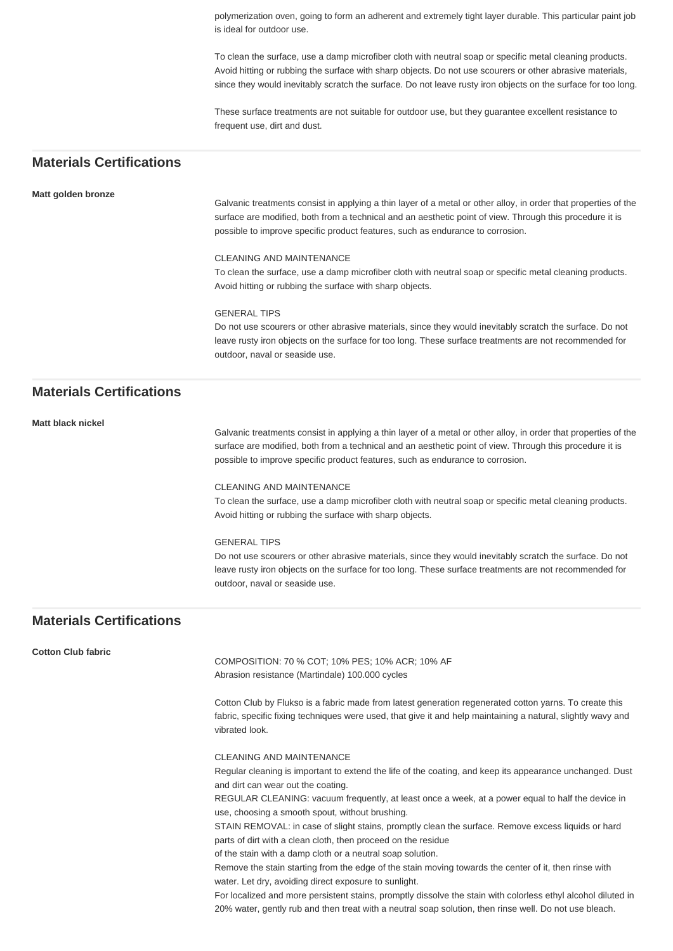polymerization oven, going to form an adherent and extremely tight layer durable. This particular paint job is ideal for outdoor use.

To clean the surface, use a damp microfiber cloth with neutral soap or specific metal cleaning products. Avoid hitting or rubbing the surface with sharp objects. Do not use scourers or other abrasive materials, since they would inevitably scratch the surface. Do not leave rusty iron objects on the surface for too long.

These surface treatments are not suitable for outdoor use, but they guarantee excellent resistance to frequent use, dirt and dust.

## **Materials Certifications**

## **Matt golden bronze**

Galvanic treatments consist in applying a thin layer of a metal or other alloy, in order that properties of the surface are modified, both from a technical and an aesthetic point of view. Through this procedure it is possible to improve specific product features, such as endurance to corrosion.

#### CLEANING AND MAINTENANCE

To clean the surface, use a damp microfiber cloth with neutral soap or specific metal cleaning products. Avoid hitting or rubbing the surface with sharp objects.

#### GENERAL TIPS

Do not use scourers or other abrasive materials, since they would inevitably scratch the surface. Do not leave rusty iron objects on the surface for too long. These surface treatments are not recommended for outdoor, naval or seaside use.

## **Materials Certifications**

**Matt black nickel**

Galvanic treatments consist in applying a thin layer of a metal or other alloy, in order that properties of the surface are modified, both from a technical and an aesthetic point of view. Through this procedure it is possible to improve specific product features, such as endurance to corrosion.

## CLEANING AND MAINTENANCE

To clean the surface, use a damp microfiber cloth with neutral soap or specific metal cleaning products. Avoid hitting or rubbing the surface with sharp objects.

#### GENERAL TIPS

Do not use scourers or other abrasive materials, since they would inevitably scratch the surface. Do not leave rusty iron objects on the surface for too long. These surface treatments are not recommended for outdoor, naval or seaside use.

## **Materials Certifications**

#### **Cotton Club fabric**

COMPOSITION: 70 % COT; 10% PES; 10% ACR; 10% AF Abrasion resistance (Martindale) 100.000 cycles

Cotton Club by Flukso is a fabric made from latest generation regenerated cotton yarns. To create this fabric, specific fixing techniques were used, that give it and help maintaining a natural, slightly wavy and vibrated look.

#### CLEANING AND MAINTENANCE

Regular cleaning is important to extend the life of the coating, and keep its appearance unchanged. Dust and dirt can wear out the coating.

REGULAR CLEANING: vacuum frequently, at least once a week, at a power equal to half the device in use, choosing a smooth spout, without brushing.

STAIN REMOVAL: in case of slight stains, promptly clean the surface. Remove excess liquids or hard parts of dirt with a clean cloth, then proceed on the residue

of the stain with a damp cloth or a neutral soap solution.

Remove the stain starting from the edge of the stain moving towards the center of it, then rinse with water. Let dry, avoiding direct exposure to sunlight.

For localized and more persistent stains, promptly dissolve the stain with colorless ethyl alcohol diluted in 20% water, gently rub and then treat with a neutral soap solution, then rinse well. Do not use bleach.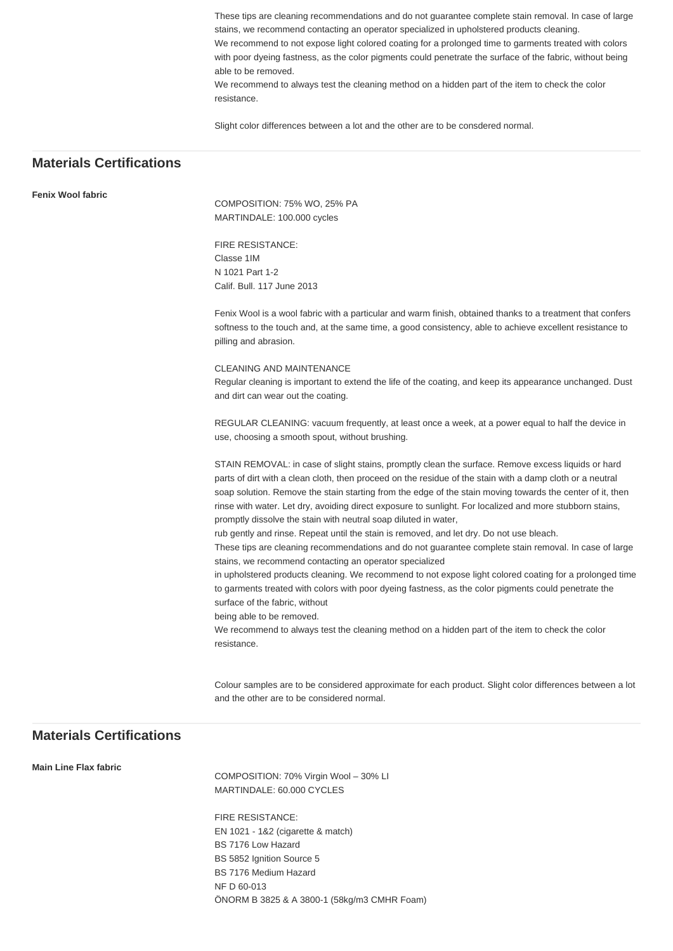These tips are cleaning recommendations and do not guarantee complete stain removal. In case of large stains, we recommend contacting an operator specialized in upholstered products cleaning.

We recommend to not expose light colored coating for a prolonged time to garments treated with colors with poor dyeing fastness, as the color pigments could penetrate the surface of the fabric, without being able to be removed.

We recommend to always test the cleaning method on a hidden part of the item to check the color resistance.

Slight color differences between a lot and the other are to be consdered normal.

## **Materials Certifications**

## **Fenix Wool fabric**

COMPOSITION: 75% WO, 25% PA MARTINDALE: 100.000 cycles

FIRE RESISTANCE: Classe 1IM N 1021 Part 1-2 Calif. Bull. 117 June 2013

Fenix Wool is a wool fabric with a particular and warm finish, obtained thanks to a treatment that confers softness to the touch and, at the same time, a good consistency, able to achieve excellent resistance to pilling and abrasion.

#### CLEANING AND MAINTENANCE

Regular cleaning is important to extend the life of the coating, and keep its appearance unchanged. Dust and dirt can wear out the coating.

REGULAR CLEANING: vacuum frequently, at least once a week, at a power equal to half the device in use, choosing a smooth spout, without brushing.

STAIN REMOVAL: in case of slight stains, promptly clean the surface. Remove excess liquids or hard parts of dirt with a clean cloth, then proceed on the residue of the stain with a damp cloth or a neutral soap solution. Remove the stain starting from the edge of the stain moving towards the center of it, then rinse with water. Let dry, avoiding direct exposure to sunlight. For localized and more stubborn stains, promptly dissolve the stain with neutral soap diluted in water,

rub gently and rinse. Repeat until the stain is removed, and let dry. Do not use bleach.

These tips are cleaning recommendations and do not guarantee complete stain removal. In case of large stains, we recommend contacting an operator specialized

in upholstered products cleaning. We recommend to not expose light colored coating for a prolonged time to garments treated with colors with poor dyeing fastness, as the color pigments could penetrate the surface of the fabric, without

being able to be removed.

We recommend to always test the cleaning method on a hidden part of the item to check the color resistance.

Colour samples are to be considered approximate for each product. Slight color differences between a lot and the other are to be considered normal.

## **Materials Certifications**

#### **Main Line Flax fabric**

COMPOSITION: 70% Virgin Wool – 30% LI MARTINDALE: 60.000 CYCLES

FIRE RESISTANCE: EN 1021 - 1&2 (cigarette & match) BS 7176 Low Hazard BS 5852 Ignition Source 5 BS 7176 Medium Hazard NF D 60-013 ÖNORM B 3825 & A 3800-1 (58kg/m3 CMHR Foam)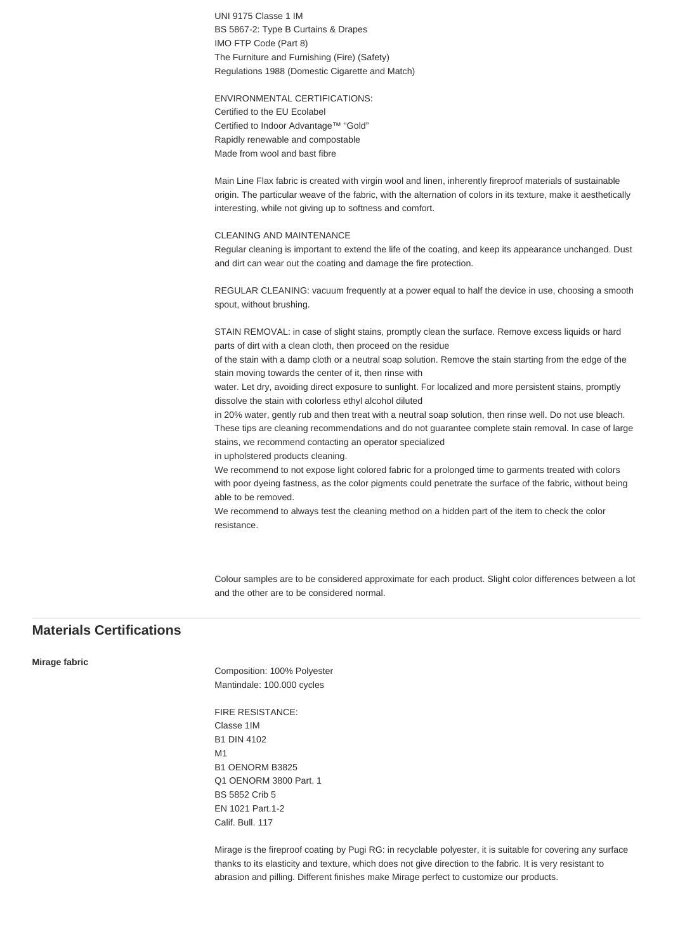UNI 9175 Classe 1 IM BS 5867-2: Type B Curtains & Drapes IMO FTP Code (Part 8) The Furniture and Furnishing (Fire) (Safety) Regulations 1988 (Domestic Cigarette and Match)

ENVIRONMENTAL CERTIFICATIONS: Certified to the EU Ecolabel Certified to Indoor Advantage™ "Gold" Rapidly renewable and compostable Made from wool and bast fibre

Main Line Flax fabric is created with virgin wool and linen, inherently fireproof materials of sustainable origin. The particular weave of the fabric, with the alternation of colors in its texture, make it aesthetically interesting, while not giving up to softness and comfort.

## CLEANING AND MAINTENANCE

Regular cleaning is important to extend the life of the coating, and keep its appearance unchanged. Dust and dirt can wear out the coating and damage the fire protection.

REGULAR CLEANING: vacuum frequently at a power equal to half the device in use, choosing a smooth spout, without brushing.

STAIN REMOVAL: in case of slight stains, promptly clean the surface. Remove excess liquids or hard parts of dirt with a clean cloth, then proceed on the residue

of the stain with a damp cloth or a neutral soap solution. Remove the stain starting from the edge of the stain moving towards the center of it, then rinse with

water. Let dry, avoiding direct exposure to sunlight. For localized and more persistent stains, promptly dissolve the stain with colorless ethyl alcohol diluted

in 20% water, gently rub and then treat with a neutral soap solution, then rinse well. Do not use bleach. These tips are cleaning recommendations and do not guarantee complete stain removal. In case of large stains, we recommend contacting an operator specialized

in upholstered products cleaning.

We recommend to not expose light colored fabric for a prolonged time to garments treated with colors with poor dyeing fastness, as the color pigments could penetrate the surface of the fabric, without being able to be removed.

We recommend to always test the cleaning method on a hidden part of the item to check the color resistance.

Colour samples are to be considered approximate for each product. Slight color differences between a lot and the other are to be considered normal.

## **Materials Certifications**

#### **Mirage fabric**

Composition: 100% Polyester Mantindale: 100.000 cycles

FIRE RESISTANCE: Classe 1IM B1 DIN 4102 M1 B1 OENORM B3825 Q1 OENORM 3800 Part. 1 BS 5852 Crib 5 EN 1021 Part.1-2 Calif. Bull. 117

Mirage is the fireproof coating by Pugi RG: in recyclable polyester, it is suitable for covering any surface thanks to its elasticity and texture, which does not give direction to the fabric. It is very resistant to abrasion and pilling. Different finishes make Mirage perfect to customize our products.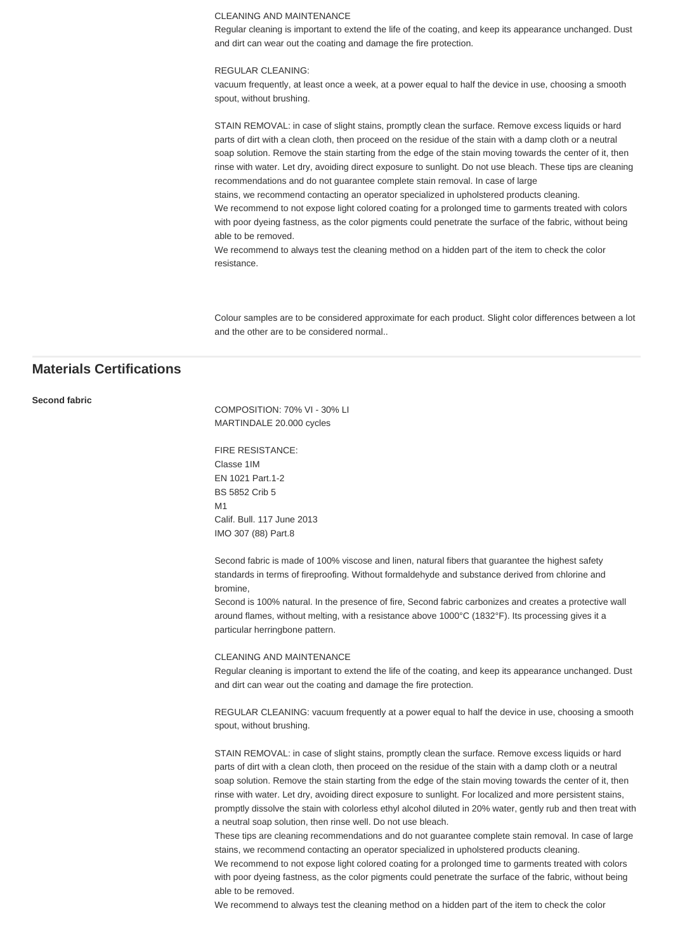#### CLEANING AND MAINTENANCE

Regular cleaning is important to extend the life of the coating, and keep its appearance unchanged. Dust and dirt can wear out the coating and damage the fire protection.

## REGULAR CLEANING:

vacuum frequently, at least once a week, at a power equal to half the device in use, choosing a smooth spout, without brushing.

STAIN REMOVAL: in case of slight stains, promptly clean the surface. Remove excess liquids or hard parts of dirt with a clean cloth, then proceed on the residue of the stain with a damp cloth or a neutral soap solution. Remove the stain starting from the edge of the stain moving towards the center of it, then rinse with water. Let dry, avoiding direct exposure to sunlight. Do not use bleach. These tips are cleaning recommendations and do not guarantee complete stain removal. In case of large

stains, we recommend contacting an operator specialized in upholstered products cleaning. We recommend to not expose light colored coating for a prolonged time to garments treated with colors with poor dyeing fastness, as the color pigments could penetrate the surface of the fabric, without being able to be removed.

We recommend to always test the cleaning method on a hidden part of the item to check the color resistance.

Colour samples are to be considered approximate for each product. Slight color differences between a lot and the other are to be considered normal..

## **Materials Certifications**

## **Second fabric**

COMPOSITION: 70% VI - 30% LI MARTINDALE 20.000 cycles

FIRE RESISTANCE: Classe 1IM EN 1021 Part.1-2 BS 5852 Crib 5 M1 Calif. Bull. 117 June 2013 IMO 307 (88) Part.8

Second fabric is made of 100% viscose and linen, natural fibers that guarantee the highest safety standards in terms of fireproofing. Without formaldehyde and substance derived from chlorine and bromine,

Second is 100% natural. In the presence of fire, Second fabric carbonizes and creates a protective wall around flames, without melting, with a resistance above 1000°C (1832°F). Its processing gives it a particular herringbone pattern.

#### CLEANING AND MAINTENANCE

Regular cleaning is important to extend the life of the coating, and keep its appearance unchanged. Dust and dirt can wear out the coating and damage the fire protection.

REGULAR CLEANING: vacuum frequently at a power equal to half the device in use, choosing a smooth spout, without brushing.

STAIN REMOVAL: in case of slight stains, promptly clean the surface. Remove excess liquids or hard parts of dirt with a clean cloth, then proceed on the residue of the stain with a damp cloth or a neutral soap solution. Remove the stain starting from the edge of the stain moving towards the center of it, then rinse with water. Let dry, avoiding direct exposure to sunlight. For localized and more persistent stains, promptly dissolve the stain with colorless ethyl alcohol diluted in 20% water, gently rub and then treat with a neutral soap solution, then rinse well. Do not use bleach.

These tips are cleaning recommendations and do not guarantee complete stain removal. In case of large stains, we recommend contacting an operator specialized in upholstered products cleaning.

We recommend to not expose light colored coating for a prolonged time to garments treated with colors with poor dyeing fastness, as the color pigments could penetrate the surface of the fabric, without being able to be removed.

We recommend to always test the cleaning method on a hidden part of the item to check the color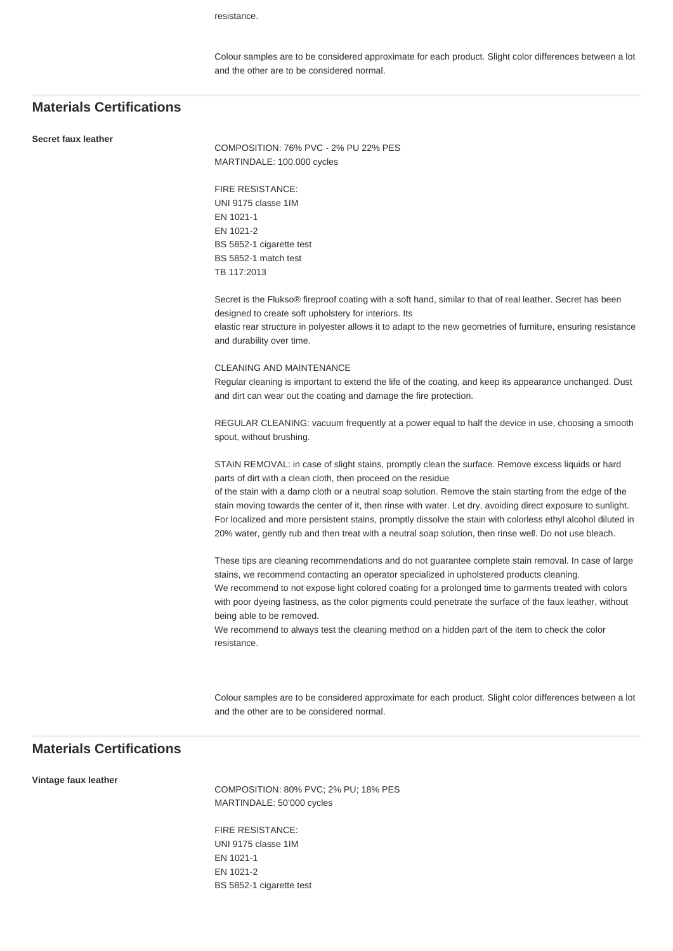resistance.

Colour samples are to be considered approximate for each product. Slight color differences between a lot and the other are to be considered normal.

## **Materials Certifications**

#### **Secret faux leather**

COMPOSITION: 76% PVC - 2% PU 22% PES MARTINDALE: 100.000 cycles

FIRE RESISTANCE: UNI 9175 classe 1IM EN 1021-1 EN 1021-2 BS 5852-1 cigarette test BS 5852-1 match test TB 117:2013

Secret is the Flukso® fireproof coating with a soft hand, similar to that of real leather. Secret has been designed to create soft upholstery for interiors. Its

elastic rear structure in polyester allows it to adapt to the new geometries of furniture, ensuring resistance and durability over time.

## CLEANING AND MAINTENANCE

Regular cleaning is important to extend the life of the coating, and keep its appearance unchanged. Dust and dirt can wear out the coating and damage the fire protection.

REGULAR CLEANING: vacuum frequently at a power equal to half the device in use, choosing a smooth spout, without brushing.

STAIN REMOVAL: in case of slight stains, promptly clean the surface. Remove excess liquids or hard parts of dirt with a clean cloth, then proceed on the residue

of the stain with a damp cloth or a neutral soap solution. Remove the stain starting from the edge of the stain moving towards the center of it, then rinse with water. Let dry, avoiding direct exposure to sunlight. For localized and more persistent stains, promptly dissolve the stain with colorless ethyl alcohol diluted in 20% water, gently rub and then treat with a neutral soap solution, then rinse well. Do not use bleach.

These tips are cleaning recommendations and do not guarantee complete stain removal. In case of large stains, we recommend contacting an operator specialized in upholstered products cleaning. We recommend to not expose light colored coating for a prolonged time to garments treated with colors with poor dyeing fastness, as the color pigments could penetrate the surface of the faux leather, without being able to be removed.

We recommend to always test the cleaning method on a hidden part of the item to check the color resistance.

Colour samples are to be considered approximate for each product. Slight color differences between a lot and the other are to be considered normal.

## **Materials Certifications**

**Vintage faux leather**

COMPOSITION: 80% PVC; 2% PU; 18% PES MARTINDALE: 50'000 cycles

FIRE RESISTANCE: UNI 9175 classe 1IM EN 1021-1 EN 1021-2 BS 5852-1 cigarette test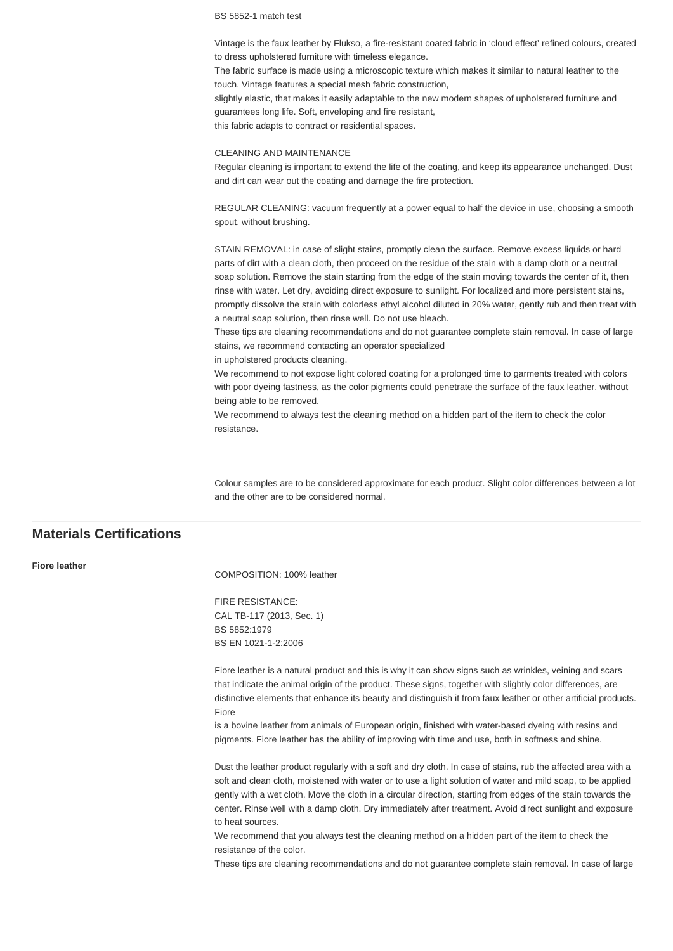BS 5852-1 match test

Vintage is the faux leather by Flukso, a fire-resistant coated fabric in 'cloud effect' refined colours, created to dress upholstered furniture with timeless elegance.

The fabric surface is made using a microscopic texture which makes it similar to natural leather to the touch. Vintage features a special mesh fabric construction,

slightly elastic, that makes it easily adaptable to the new modern shapes of upholstered furniture and guarantees long life. Soft, enveloping and fire resistant,

this fabric adapts to contract or residential spaces.

## CLEANING AND MAINTENANCE

Regular cleaning is important to extend the life of the coating, and keep its appearance unchanged. Dust and dirt can wear out the coating and damage the fire protection.

REGULAR CLEANING: vacuum frequently at a power equal to half the device in use, choosing a smooth spout, without brushing.

STAIN REMOVAL: in case of slight stains, promptly clean the surface. Remove excess liquids or hard parts of dirt with a clean cloth, then proceed on the residue of the stain with a damp cloth or a neutral soap solution. Remove the stain starting from the edge of the stain moving towards the center of it, then rinse with water. Let dry, avoiding direct exposure to sunlight. For localized and more persistent stains, promptly dissolve the stain with colorless ethyl alcohol diluted in 20% water, gently rub and then treat with a neutral soap solution, then rinse well. Do not use bleach.

These tips are cleaning recommendations and do not guarantee complete stain removal. In case of large stains, we recommend contacting an operator specialized

in upholstered products cleaning.

We recommend to not expose light colored coating for a prolonged time to garments treated with colors with poor dyeing fastness, as the color pigments could penetrate the surface of the faux leather, without being able to be removed.

We recommend to always test the cleaning method on a hidden part of the item to check the color resistance.

Colour samples are to be considered approximate for each product. Slight color differences between a lot and the other are to be considered normal.

## **Materials Certifications**

#### **Fiore leather**

COMPOSITION: 100% leather

FIRE RESISTANCE: CAL TB-117 (2013, Sec. 1) BS 5852:1979 BS EN 1021-1-2:2006

Fiore leather is a natural product and this is why it can show signs such as wrinkles, veining and scars that indicate the animal origin of the product. These signs, together with slightly color differences, are distinctive elements that enhance its beauty and distinguish it from faux leather or other artificial products. Fiore

is a bovine leather from animals of European origin, finished with water-based dyeing with resins and pigments. Fiore leather has the ability of improving with time and use, both in softness and shine.

Dust the leather product regularly with a soft and dry cloth. In case of stains, rub the affected area with a soft and clean cloth, moistened with water or to use a light solution of water and mild soap, to be applied gently with a wet cloth. Move the cloth in a circular direction, starting from edges of the stain towards the center. Rinse well with a damp cloth. Dry immediately after treatment. Avoid direct sunlight and exposure to heat sources.

We recommend that you always test the cleaning method on a hidden part of the item to check the resistance of the color.

These tips are cleaning recommendations and do not guarantee complete stain removal. In case of large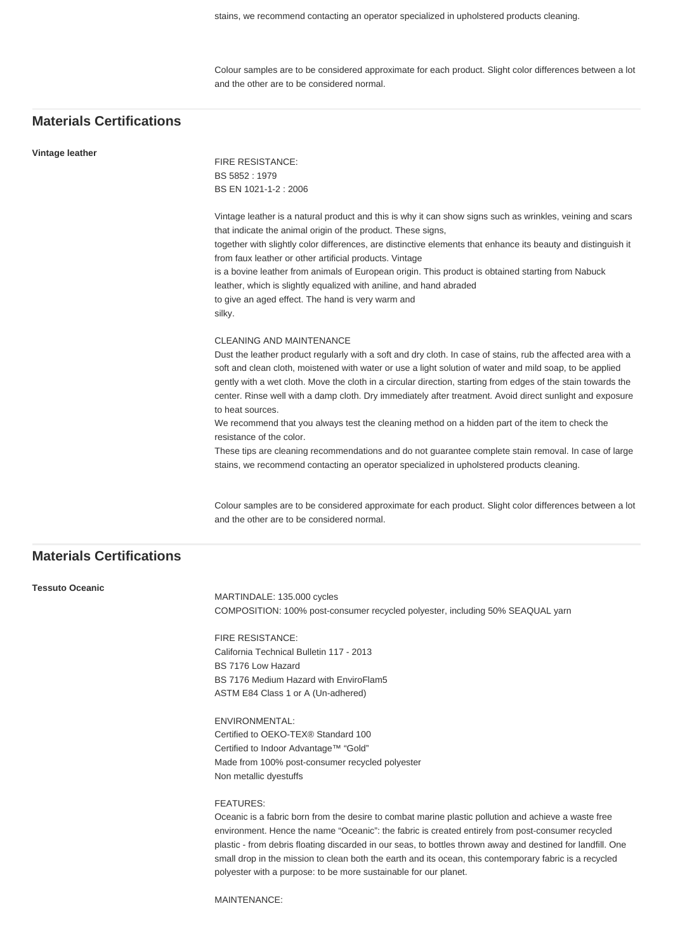Colour samples are to be considered approximate for each product. Slight color differences between a lot and the other are to be considered normal.

## **Materials Certifications**

#### **Vintage leather**

FIRE RESISTANCE: BS 5852 : 1979 BS EN 1021-1-2 : 2006

Vintage leather is a natural product and this is why it can show signs such as wrinkles, veining and scars that indicate the animal origin of the product. These signs, together with slightly color differences, are distinctive elements that enhance its beauty and distinguish it from faux leather or other artificial products. Vintage is a bovine leather from animals of European origin. This product is obtained starting from Nabuck leather, which is slightly equalized with aniline, and hand abraded to give an aged effect. The hand is very warm and silky.

## CLEANING AND MAINTENANCE

Dust the leather product regularly with a soft and dry cloth. In case of stains, rub the affected area with a soft and clean cloth, moistened with water or use a light solution of water and mild soap, to be applied gently with a wet cloth. Move the cloth in a circular direction, starting from edges of the stain towards the center. Rinse well with a damp cloth. Dry immediately after treatment. Avoid direct sunlight and exposure to heat sources.

We recommend that you always test the cleaning method on a hidden part of the item to check the resistance of the color.

These tips are cleaning recommendations and do not guarantee complete stain removal. In case of large stains, we recommend contacting an operator specialized in upholstered products cleaning.

Colour samples are to be considered approximate for each product. Slight color differences between a lot and the other are to be considered normal.

## **Materials Certifications**

## **Tessuto Oceanic**

MARTINDALE: 135.000 cycles COMPOSITION: 100% post-consumer recycled polyester, including 50% SEAQUAL yarn

FIRE RESISTANCE: California Technical Bulletin 117 - 2013 BS 7176 Low Hazard BS 7176 Medium Hazard with EnviroFlam5 ASTM E84 Class 1 or A (Un-adhered)

## ENVIRONMENTAL:

Certified to OEKO-TEX® Standard 100 Certified to Indoor Advantage™ "Gold" Made from 100% post-consumer recycled polyester Non metallic dyestuffs

## FEATURES:

Oceanic is a fabric born from the desire to combat marine plastic pollution and achieve a waste free environment. Hence the name "Oceanic": the fabric is created entirely from post-consumer recycled plastic - from debris floating discarded in our seas, to bottles thrown away and destined for landfill. One small drop in the mission to clean both the earth and its ocean, this contemporary fabric is a recycled polyester with a purpose: to be more sustainable for our planet.

MAINTENANCE: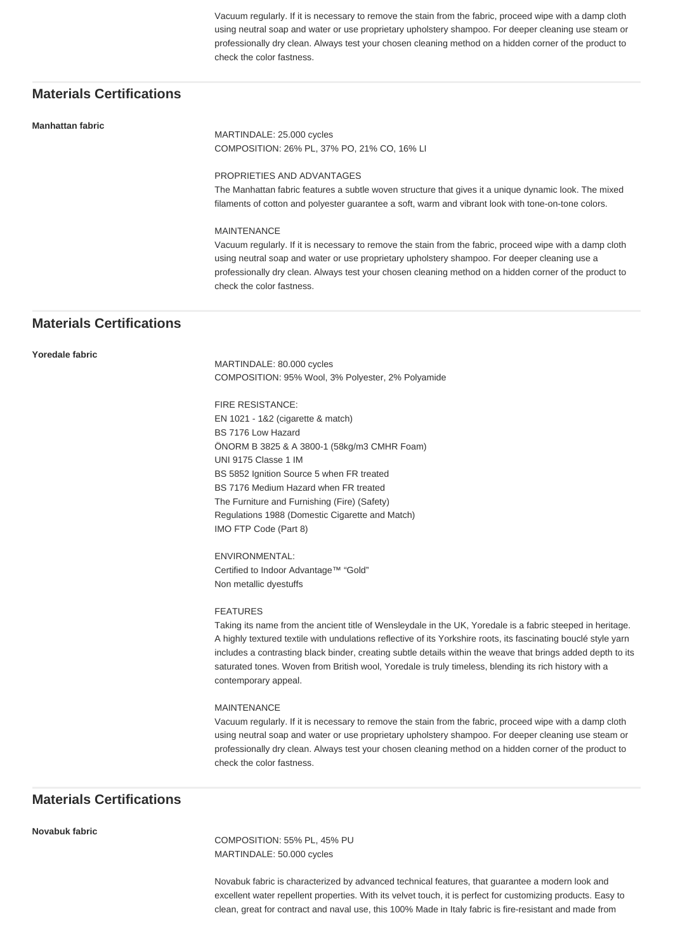Vacuum regularly. If it is necessary to remove the stain from the fabric, proceed wipe with a damp cloth using neutral soap and water or use proprietary upholstery shampoo. For deeper cleaning use steam or professionally dry clean. Always test your chosen cleaning method on a hidden corner of the product to check the color fastness.

## **Materials Certifications**

#### **Manhattan fabric**

MARTINDALE: 25.000 cycles COMPOSITION: 26% PL, 37% PO, 21% CO, 16% LI

#### PROPRIETIES AND ADVANTAGES

The Manhattan fabric features a subtle woven structure that gives it a unique dynamic look. The mixed filaments of cotton and polyester guarantee a soft, warm and vibrant look with tone-on-tone colors.

## MAINTENANCE

Vacuum regularly. If it is necessary to remove the stain from the fabric, proceed wipe with a damp cloth using neutral soap and water or use proprietary upholstery shampoo. For deeper cleaning use a professionally dry clean. Always test your chosen cleaning method on a hidden corner of the product to check the color fastness.

## **Materials Certifications**

## **Yoredale fabric**

MARTINDALE: 80.000 cycles COMPOSITION: 95% Wool, 3% Polyester, 2% Polyamide

FIRE RESISTANCE: EN 1021 - 1&2 (cigarette & match) BS 7176 Low Hazard ÖNORM B 3825 & A 3800-1 (58kg/m3 CMHR Foam) UNI 9175 Classe 1 IM BS 5852 Ignition Source 5 when FR treated BS 7176 Medium Hazard when FR treated The Furniture and Furnishing (Fire) (Safety) Regulations 1988 (Domestic Cigarette and Match) IMO FTP Code (Part 8)

ENVIRONMENTAL: Certified to Indoor Advantage™ "Gold" Non metallic dyestuffs

#### FEATURES

Taking its name from the ancient title of Wensleydale in the UK, Yoredale is a fabric steeped in heritage. A highly textured textile with undulations reflective of its Yorkshire roots, its fascinating bouclé style yarn includes a contrasting black binder, creating subtle details within the weave that brings added depth to its saturated tones. Woven from British wool, Yoredale is truly timeless, blending its rich history with a contemporary appeal.

#### MAINTENANCE

Vacuum regularly. If it is necessary to remove the stain from the fabric, proceed wipe with a damp cloth using neutral soap and water or use proprietary upholstery shampoo. For deeper cleaning use steam or professionally dry clean. Always test your chosen cleaning method on a hidden corner of the product to check the color fastness.

## **Materials Certifications**

## **Novabuk fabric**

COMPOSITION: 55% PL, 45% PU MARTINDALE: 50.000 cycles

Novabuk fabric is characterized by advanced technical features, that guarantee a modern look and excellent water repellent properties. With its velvet touch, it is perfect for customizing products. Easy to clean, great for contract and naval use, this 100% Made in Italy fabric is fire-resistant and made from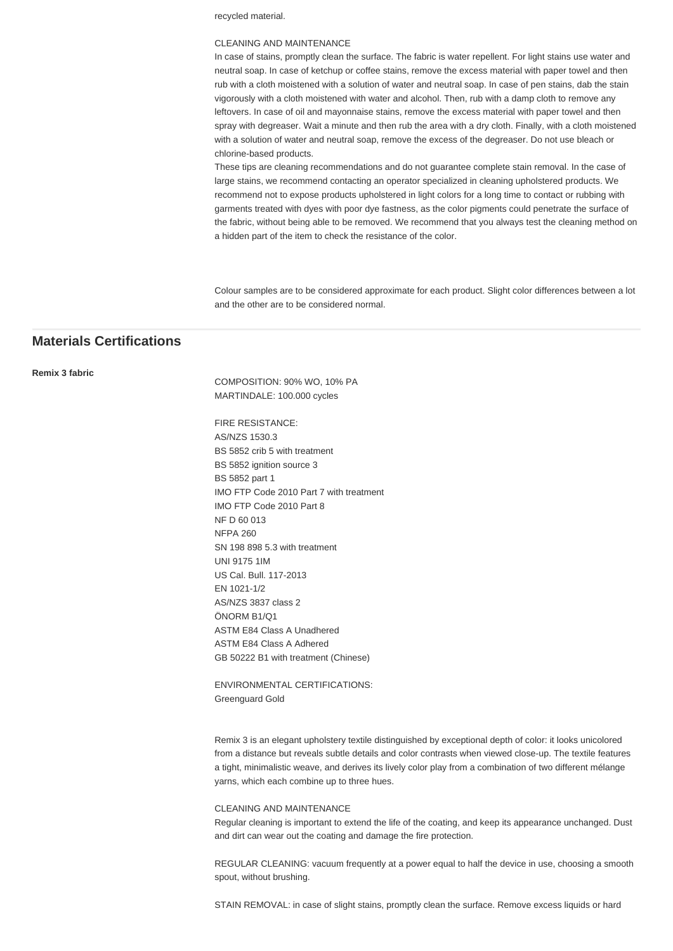recycled material.

## CLEANING AND MAINTENANCE

In case of stains, promptly clean the surface. The fabric is water repellent. For light stains use water and neutral soap. In case of ketchup or coffee stains, remove the excess material with paper towel and then rub with a cloth moistened with a solution of water and neutral soap. In case of pen stains, dab the stain vigorously with a cloth moistened with water and alcohol. Then, rub with a damp cloth to remove any leftovers. In case of oil and mayonnaise stains, remove the excess material with paper towel and then spray with degreaser. Wait a minute and then rub the area with a dry cloth. Finally, with a cloth moistened with a solution of water and neutral soap, remove the excess of the degreaser. Do not use bleach or chlorine-based products.

These tips are cleaning recommendations and do not guarantee complete stain removal. In the case of large stains, we recommend contacting an operator specialized in cleaning upholstered products. We recommend not to expose products upholstered in light colors for a long time to contact or rubbing with garments treated with dyes with poor dye fastness, as the color pigments could penetrate the surface of the fabric, without being able to be removed. We recommend that you always test the cleaning method on a hidden part of the item to check the resistance of the color.

Colour samples are to be considered approximate for each product. Slight color differences between a lot and the other are to be considered normal.

## **Materials Certifications**

## **Remix 3 fabric**

COMPOSITION: 90% WO, 10% PA MARTINDALE: 100.000 cycles

FIRE RESISTANCE: AS/NZS 1530.3 BS 5852 crib 5 with treatment BS 5852 ignition source 3 BS 5852 part 1 IMO FTP Code 2010 Part 7 with treatment IMO FTP Code 2010 Part 8 NF D 60 013 NFPA 260 SN 198 898 5.3 with treatment UNI 9175 1IM US Cal. Bull. 117-2013 EN 1021-1/2 AS/NZS 3837 class 2 ÖNORM B1/Q1 ASTM E84 Class A Unadhered ASTM E84 Class A Adhered GB 50222 B1 with treatment (Chinese)

ENVIRONMENTAL CERTIFICATIONS: Greenguard Gold

Remix 3 is an elegant upholstery textile distinguished by exceptional depth of color: it looks unicolored from a distance but reveals subtle details and color contrasts when viewed close-up. The textile features a tight, minimalistic weave, and derives its lively color play from a combination of two different mélange yarns, which each combine up to three hues.

## CLEANING AND MAINTENANCE

Regular cleaning is important to extend the life of the coating, and keep its appearance unchanged. Dust and dirt can wear out the coating and damage the fire protection.

REGULAR CLEANING: vacuum frequently at a power equal to half the device in use, choosing a smooth spout, without brushing.

STAIN REMOVAL: in case of slight stains, promptly clean the surface. Remove excess liquids or hard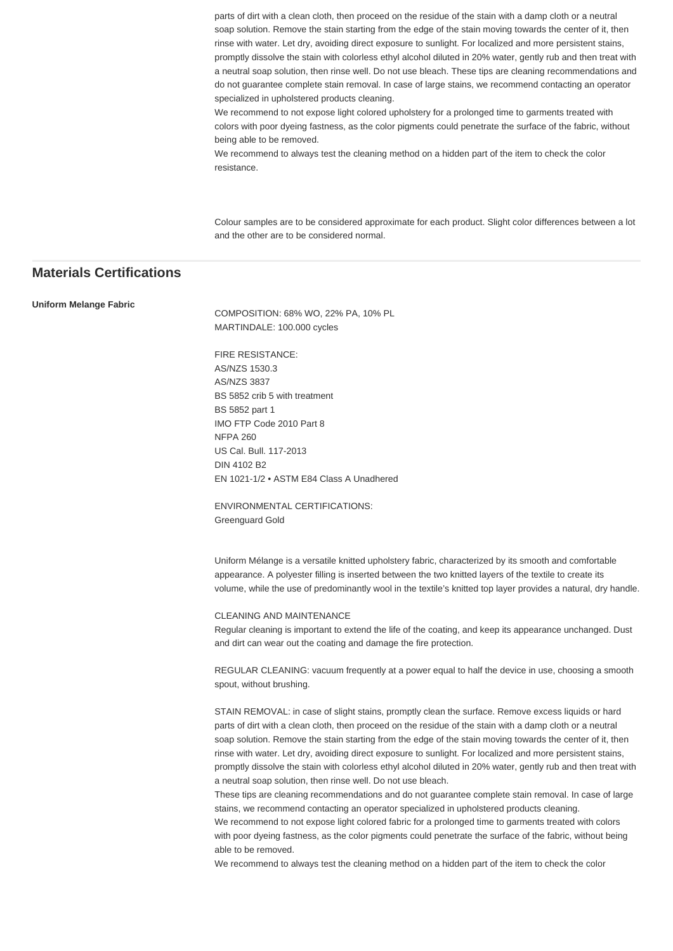parts of dirt with a clean cloth, then proceed on the residue of the stain with a damp cloth or a neutral soap solution. Remove the stain starting from the edge of the stain moving towards the center of it, then rinse with water. Let dry, avoiding direct exposure to sunlight. For localized and more persistent stains, promptly dissolve the stain with colorless ethyl alcohol diluted in 20% water, gently rub and then treat with a neutral soap solution, then rinse well. Do not use bleach. These tips are cleaning recommendations and do not guarantee complete stain removal. In case of large stains, we recommend contacting an operator specialized in upholstered products cleaning.

We recommend to not expose light colored upholstery for a prolonged time to garments treated with colors with poor dyeing fastness, as the color pigments could penetrate the surface of the fabric, without being able to be removed.

We recommend to always test the cleaning method on a hidden part of the item to check the color resistance.

Colour samples are to be considered approximate for each product. Slight color differences between a lot and the other are to be considered normal.

## **Materials Certifications**

#### **Uniform Melange Fabric**

COMPOSITION: 68% WO, 22% PA, 10% PL MARTINDALE: 100.000 cycles

FIRE RESISTANCE: AS/NZS 1530.3 AS/NZS 3837 BS 5852 crib 5 with treatment BS 5852 part 1 IMO FTP Code 2010 Part 8 NFPA 260 US Cal. Bull. 117-2013 DIN 4102 B2 EN 1021-1/2 • ASTM E84 Class A Unadhered

ENVIRONMENTAL CERTIFICATIONS: Greenguard Gold

Uniform Mélange is a versatile knitted upholstery fabric, characterized by its smooth and comfortable appearance. A polyester filling is inserted between the two knitted layers of the textile to create its volume, while the use of predominantly wool in the textile's knitted top layer provides a natural, dry handle.

## CLEANING AND MAINTENANCE

Regular cleaning is important to extend the life of the coating, and keep its appearance unchanged. Dust and dirt can wear out the coating and damage the fire protection.

REGULAR CLEANING: vacuum frequently at a power equal to half the device in use, choosing a smooth spout, without brushing.

STAIN REMOVAL: in case of slight stains, promptly clean the surface. Remove excess liquids or hard parts of dirt with a clean cloth, then proceed on the residue of the stain with a damp cloth or a neutral soap solution. Remove the stain starting from the edge of the stain moving towards the center of it, then rinse with water. Let dry, avoiding direct exposure to sunlight. For localized and more persistent stains, promptly dissolve the stain with colorless ethyl alcohol diluted in 20% water, gently rub and then treat with a neutral soap solution, then rinse well. Do not use bleach.

These tips are cleaning recommendations and do not guarantee complete stain removal. In case of large stains, we recommend contacting an operator specialized in upholstered products cleaning.

We recommend to not expose light colored fabric for a prolonged time to garments treated with colors with poor dyeing fastness, as the color pigments could penetrate the surface of the fabric, without being able to be removed.

We recommend to always test the cleaning method on a hidden part of the item to check the color